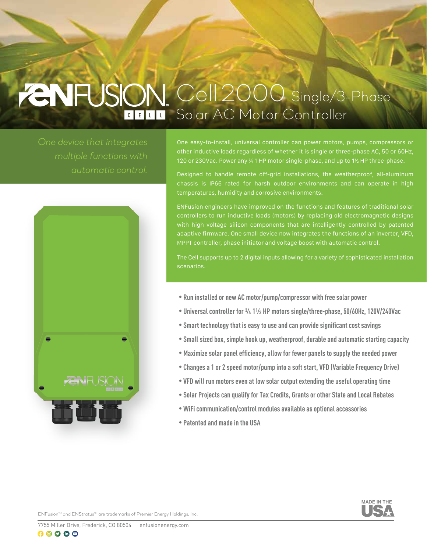# *Cell 2000 Single/3-Phase Solar AC Motor Controller*

*automatic control.*



One easy-to-install, universal controller can power motors, pumps, compressors or other inductive loads regardless of whether it is single or three-phase AC, 50 or 60Hz, 120 or 230Vac. Power any ¾ 1 HP motor single-phase, and up to 1½ HP three-phase.

Designed to handle remote off-grid installations, the weatherproof, all-aluminum chassis is IP66 rated for harsh outdoor environments and can operate in high temperatures, humidity and corrosive environments.

ENFusion engineers have improved on the functions and features of traditional solar controllers to run inductive loads (motors) by replacing old electromagnetic designs with high voltage silicon components that are intelligently controlled by patented adaptive firmware. One small device now integrates the functions of an inverter, VFD, MPPT controller, phase initiator and voltage boost with automatic control.

The Cell supports up to 2 digital inputs allowing for a variety of sophisticated installation scenarios.

- **Run installed or new AC motor/pump/compressor with free solar power**
- **Universal controller for ¾ 1½ HP motors single/three-phase, 50/60Hz, 120V/240Vac**
- **Smart technology that is easy to use and can provide significant cost savings**
- **Small sized box, simple hook up, weatherproof, durable and automatic starting capacity**
- **Maximize solar panel efficiency, allow for fewer panels to supply the needed power**
- **Changes a 1 or 2 speed motor/pump into a soft start, VFD (Variable Frequency Drive)**
- **VFD will run motors even at low solar output extending the useful operating time**
- **Solar Projects can qualify for Tax Credits, Grants or other State and Local Rebates**
- **WiFi communication/control modules available as optional accessories**
- **Patented and made in the USA**



**ENFusion<sup>™</sup> and ENStratus<sup>™</sup> are trademarks of Premier Energy Holdings, Inc.**